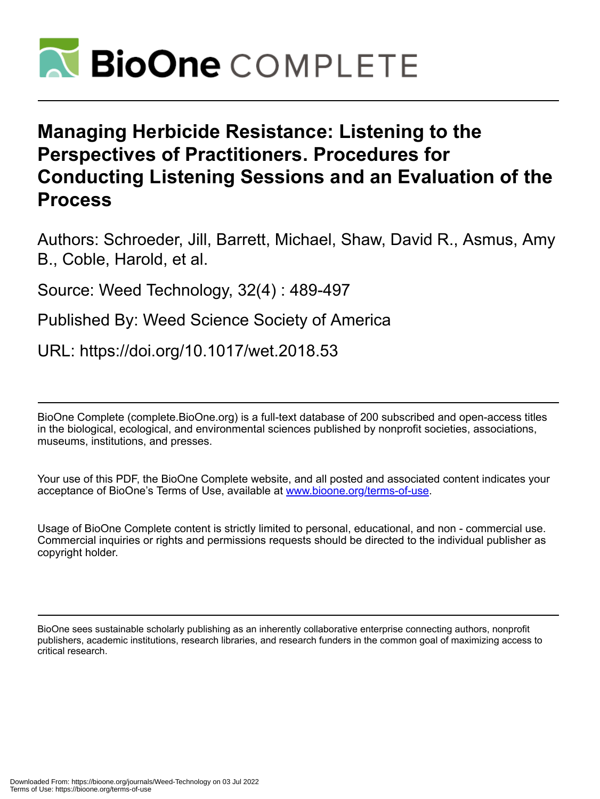

# **Managing Herbicide Resistance: Listening to the Perspectives of Practitioners. Procedures for Conducting Listening Sessions and an Evaluation of the Process**

Authors: Schroeder, Jill, Barrett, Michael, Shaw, David R., Asmus, Amy B., Coble, Harold, et al.

Source: Weed Technology, 32(4) : 489-497

Published By: Weed Science Society of America

URL: https://doi.org/10.1017/wet.2018.53

BioOne Complete (complete.BioOne.org) is a full-text database of 200 subscribed and open-access titles in the biological, ecological, and environmental sciences published by nonprofit societies, associations, museums, institutions, and presses.

Your use of this PDF, the BioOne Complete website, and all posted and associated content indicates your acceptance of BioOne's Terms of Use, available at www.bioone.org/terms-of-use.

Usage of BioOne Complete content is strictly limited to personal, educational, and non - commercial use. Commercial inquiries or rights and permissions requests should be directed to the individual publisher as copyright holder.

BioOne sees sustainable scholarly publishing as an inherently collaborative enterprise connecting authors, nonprofit publishers, academic institutions, research libraries, and research funders in the common goal of maximizing access to critical research.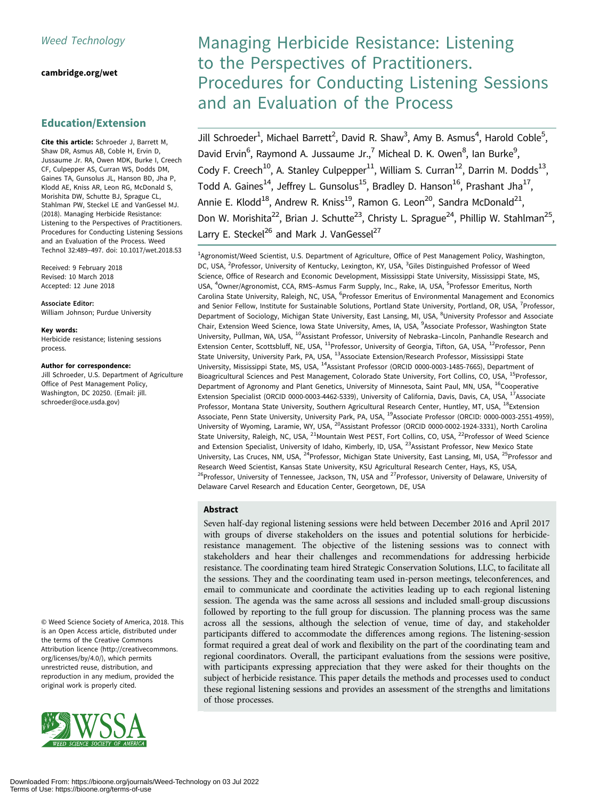## [cambridge.org/wet](https://www.cambridge.org/wet)

## Education/Extension

Cite this article: Schroeder J, Barrett M, Shaw DR, Asmus AB, Coble H, Ervin D, Jussaume Jr. RA, Owen MDK, Burke I, Creech CF, Culpepper AS, Curran WS, Dodds DM, Gaines TA, Gunsolus JL, Hanson BD, Jha P, Klodd AE, Kniss AR, Leon RG, McDonald S, Morishita DW, Schutte BJ, Sprague CL, Stahlman PW, Steckel LE and VanGessel MJ. (2018). Managing Herbicide Resistance: Listening to the Perspectives of Practitioners. Procedures for Conducting Listening Sessions and an Evaluation of the Process. Weed Technol 32:489–497. doi: 10.1017/wet.2018.53

Received: 9 February 2018 Revised: 10 March 2018 Accepted: 12 June 2018

Associate Editor:

William Johnson; Purdue University

#### Key words:

Herbicide resistance; listening sessions process.

#### Author for correspondence:

Jill Schroeder, U.S. Department of Agriculture Office of Pest Management Policy, Washington, DC 20250. (Email: [jill.](mailto:jill.schroeder@oce.usda.gov) [schroeder@oce.usda.gov\)](mailto:jill.schroeder@oce.usda.gov)

© Weed Science Society of America, 2018. This is an Open Access article, distributed under the terms of the Creative Commons Attribution licence (http://creativecommons. org/licenses/by/4.0/), which permits unrestricted reuse, distribution, and reproduction in any medium, provided the original work is properly cited.



## Managing Herbicide Resistance: Listening to the Perspectives of Practitioners. Procedures for Conducting Listening Sessions and an Evaluation of the Process

Jill Schroeder<sup>1</sup>, Michael Barrett<sup>2</sup>, David R. Shaw<sup>3</sup>, Amy B. Asmus<sup>4</sup>, Harold Coble<sup>5</sup>, David Ervin<sup>6</sup>, Raymond A. Jussaume Jr.,<sup>7</sup> Micheal D. K. Owen<sup>8</sup>, Ian Burke<sup>9</sup>, Cody F. Creech<sup>10</sup>, A. Stanley Culpepper<sup>11</sup>, William S. Curran<sup>12</sup>, Darrin M. Dodds<sup>13</sup>, Todd A. Gaines<sup>14</sup>, Jeffrey L. Gunsolus<sup>15</sup>, Bradley D. Hanson<sup>16</sup>, Prashant Jha<sup>17</sup>, Annie E. Klodd<sup>18</sup>, Andrew R. Kniss<sup>19</sup>, Ramon G. Leon<sup>20</sup>, Sandra McDonald<sup>21</sup>, Don W. Morishita<sup>22</sup>, Brian J. Schutte<sup>23</sup>, Christy L. Sprague<sup>24</sup>, Phillip W. Stahlman<sup>25</sup>, Larry E. Steckel<sup>26</sup> and Mark J. VanGessel<sup>27</sup>

<sup>1</sup>Agronomist/Weed Scientist, U.S. Department of Agriculture, Office of Pest Management Policy, Washington, DC, USA, <sup>2</sup>Professor, University of Kentucky, Lexington, KY, USA, <sup>3</sup>Giles Distinguished Professor of Weed Science, Office of Research and Economic Development, Mississippi State University, Mississippi State, MS, USA, <sup>4</sup>Owner/Agronomist, CCA, RMS-Asmus Farm Supply, Inc., Rake, IA, USA, <sup>5</sup>Professor Emeritus, North Carolina State University, Raleigh, NC, USA, <sup>6</sup>Professor Emeritus of Environmental Management and Economics and Senior Fellow, Institute for Sustainable Solutions, Portland State University, Portland, OR, USA, <sup>7</sup>Professor, Department of Sociology, Michigan State University, East Lansing, MI, USA, <sup>8</sup>University Professor and Associate Chair, Extension Weed Science, Iowa State University, Ames, IA, USA, <sup>9</sup>Associate Professor, Washington State University, Pullman, WA, USA, <sup>10</sup>Assistant Professor, University of Nebraska-Lincoln, Panhandle Research and Extension Center, Scottsbluff, NE, USA, 11Professor, University of Georgia, Tifton, GA, USA, 12Professor, Penn State University, University Park, PA, USA, <sup>13</sup>Associate Extension/Research Professor, Mississippi State University, Mississippi State, MS, USA, 14Assistant Professor (ORCID 0000-0003-1485-7665), Department of Bioagricultural Sciences and Pest Management, Colorado State University, Fort Collins, CO, USA, <sup>15</sup>Professor, Department of Agronomy and Plant Genetics, University of Minnesota, Saint Paul, MN, USA, <sup>16</sup>Cooperative Extension Specialist (ORCID 0000-0003-4462-5339), University of California, Davis, Davis, CA, USA, 17Associate Professor, Montana State University, Southern Agricultural Research Center, Huntley, MT, USA, <sup>18</sup>Extension Associate, Penn State University, University Park, PA, USA, <sup>19</sup>Associate Professor (ORCID: 0000-0003-2551-4959). University of Wyoming, Laramie, WY, USA, <sup>20</sup>Assistant Professor (ORCID 0000-0002-1924-3331), North Carolina State University, Raleigh, NC, USA, <sup>21</sup>Mountain West PEST, Fort Collins, CO, USA, <sup>22</sup>Professor of Weed Science and Extension Specialist, University of Idaho, Kimberly, ID, USA, <sup>23</sup>Assistant Professor, New Mexico State University, Las Cruces, NM, USA, <sup>24</sup>Professor, Michigan State University, East Lansing, MI, USA, <sup>25</sup>Professor and Research Weed Scientist, Kansas State University, KSU Agricultural Research Center, Hays, KS, USA, <sup>26</sup>Professor, University of Tennessee, Jackson, TN, USA and <sup>27</sup>Professor, University of Delaware, University of Delaware Carvel Research and Education Center, Georgetown, DE, USA

## Abstract

Seven half-day regional listening sessions were held between December 2016 and April 2017 with groups of diverse stakeholders on the issues and potential solutions for herbicideresistance management. The objective of the listening sessions was to connect with stakeholders and hear their challenges and recommendations for addressing herbicide resistance. The coordinating team hired Strategic Conservation Solutions, LLC, to facilitate all the sessions. They and the coordinating team used in-person meetings, teleconferences, and email to communicate and coordinate the activities leading up to each regional listening session. The agenda was the same across all sessions and included small-group discussions followed by reporting to the full group for discussion. The planning process was the same across all the sessions, although the selection of venue, time of day, and stakeholder participants differed to accommodate the differences among regions. The listening-session format required a great deal of work and flexibility on the part of the coordinating team and regional coordinators. Overall, the participant evaluations from the sessions were positive, with participants expressing appreciation that they were asked for their thoughts on the subject of herbicide resistance. This paper details the methods and processes used to conduct these regional listening sessions and provides an assessment of the strengths and limitations of those processes.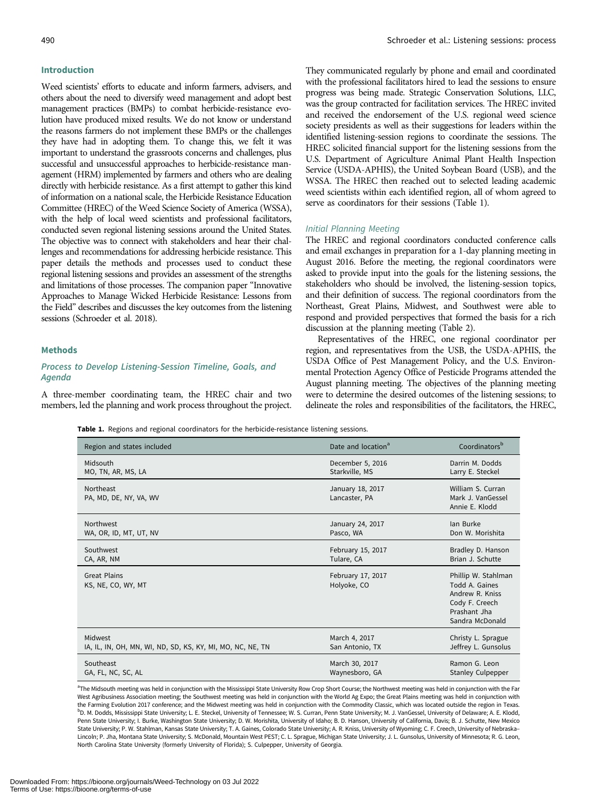#### <span id="page-2-0"></span>Introduction

Weed scientists' efforts to educate and inform farmers, advisers, and others about the need to diversify weed management and adopt best management practices (BMPs) to combat herbicide-resistance evolution have produced mixed results. We do not know or understand the reasons farmers do not implement these BMPs or the challenges they have had in adopting them. To change this, we felt it was important to understand the grassroots concerns and challenges, plus

successful and unsuccessful approaches to herbicide-resistance management (HRM) implemented by farmers and others who are dealing directly with herbicide resistance. As a first attempt to gather this kind of information on a national scale, the Herbicide Resistance Education Committee (HREC) of the Weed Science Society of America (WSSA), with the help of local weed scientists and professional facilitators, conducted seven regional listening sessions around the United States. The objective was to connect with stakeholders and hear their challenges and recommendations for addressing herbicide resistance. This paper details the methods and processes used to conduct these regional listening sessions and provides an assessment of the strengths and limitations of those processes. The companion paper "Innovative Approaches to Manage Wicked Herbicide Resistance: Lessons from the Field" describes and discusses the key outcomes from the listening sessions (Schroeder et al. [2018](#page-9-0)).

#### Methods

## Process to Develop Listening-Session Timeline, Goals, and Agenda

A three-member coordinating team, the HREC chair and two members, led the planning and work process throughout the project. They communicated regularly by phone and email and coordinated with the professional facilitators hired to lead the sessions to ensure progress was being made. Strategic Conservation Solutions, LLC, was the group contracted for facilitation services. The HREC invited and received the endorsement of the U.S. regional weed science society presidents as well as their suggestions for leaders within the identified listening-session regions to coordinate the sessions. The HREC solicited financial support for the listening sessions from the U.S. Department of Agriculture Animal Plant Health Inspection Service (USDA-APHIS), the United Soybean Board (USB), and the WSSA. The HREC then reached out to selected leading academic weed scientists within each identified region, all of whom agreed to serve as coordinators for their sessions (Table 1).

#### Initial Planning Meeting

The HREC and regional coordinators conducted conference calls and email exchanges in preparation for a 1-day planning meeting in August 2016. Before the meeting, the regional coordinators were asked to provide input into the goals for the listening sessions, the stakeholders who should be involved, the listening-session topics, and their definition of success. The regional coordinators from the Northeast, Great Plains, Midwest, and Southwest were able to respond and provided perspectives that formed the basis for a rich discussion at the planning meeting [\(Table 2\)](#page-3-0).

Representatives of the HREC, one regional coordinator per region, and representatives from the USB, the USDA-APHIS, the USDA Office of Pest Management Policy, and the U.S. Environmental Protection Agency Office of Pesticide Programs attended the August planning meeting. The objectives of the planning meeting were to determine the desired outcomes of the listening sessions; to delineate the roles and responsibilities of the facilitators, the HREC,

Table 1. Regions and regional coordinators for the herbicide-resistance listening sessions.

| Region and states included                                 | Date and location <sup>a</sup>    | Coordinators <sup>b</sup>                                                                                     |
|------------------------------------------------------------|-----------------------------------|---------------------------------------------------------------------------------------------------------------|
| Midsouth                                                   | December 5, 2016                  | Darrin M. Dodds                                                                                               |
| MO, TN, AR, MS, LA                                         | Starkville, MS                    | Larry E. Steckel                                                                                              |
| Northeast<br>PA, MD, DE, NY, VA, WV                        | January 18, 2017<br>Lancaster, PA | William S. Curran<br>Mark J. VanGessel<br>Annie E. Klodd                                                      |
| Northwest                                                  | January 24, 2017                  | lan Burke                                                                                                     |
| WA, OR, ID, MT, UT, NV                                     | Pasco, WA                         | Don W. Morishita                                                                                              |
| Southwest                                                  | February 15, 2017                 | Bradley D. Hanson                                                                                             |
| CA, AR, NM                                                 | Tulare, CA                        | Brian J. Schutte                                                                                              |
| <b>Great Plains</b><br>KS, NE, CO, WY, MT                  | February 17, 2017<br>Holyoke, CO  | Phillip W. Stahlman<br>Todd A. Gaines<br>Andrew R. Kniss<br>Cody F. Creech<br>Prashant Jha<br>Sandra McDonald |
| Midwest                                                    | March 4, 2017                     | Christy L. Sprague                                                                                            |
| IA, IL, IN, OH, MN, WI, ND, SD, KS, KY, MI, MO, NC, NE, TN | San Antonio, TX                   | Jeffrey L. Gunsolus                                                                                           |
| Southeast                                                  | March 30, 2017                    | Ramon G. Leon                                                                                                 |
| GA, FL, NC, SC, AL                                         | Waynesboro, GA                    | <b>Stanley Culpepper</b>                                                                                      |

<sup>a</sup>The Midsouth meeting was held in conjunction with the Mississippi State University Row Crop Short Course; the Northwest meeting was held in conjunction with the Far West Agribusiness Association meeting; the Southwest meeting was held in conjunction with the World Ag Expo; the Great Plains meeting was held in conjunction with the Farming Evolution 2017 conference; and the Midwest meeting was held in conjunction with the Commodity Classic, which was located outside the region in Texas. <sup>b</sup>D. M. Dodds, Mississippi State University; L. E. Steckel, University of Tennessee; W. S. Curran, Penn State University; M. J. VanGessel, University of Delaware; A. E. Klodd, Penn State University; I. Burke, Washington State University; D. W. Morishita, University of Idaho; B. D. Hanson, University of California, Davis; B. J. Schutte, New Mexico State University; P. W. Stahlman, Kansas State University; T. A. Gaines, Colorado State University; A. R. Kniss, University of Wyoming; C. F. Creech, University of Nebraska– Lincoln; P. Jha, Montana State University; S. McDonald, Mountain West PEST; C. L. Sprague, Michigan State University; J. L. Gunsolus, University of Minnesota; R. G. Leon, North Carolina State University (formerly University of Florida); S. Culpepper, University of Georgia.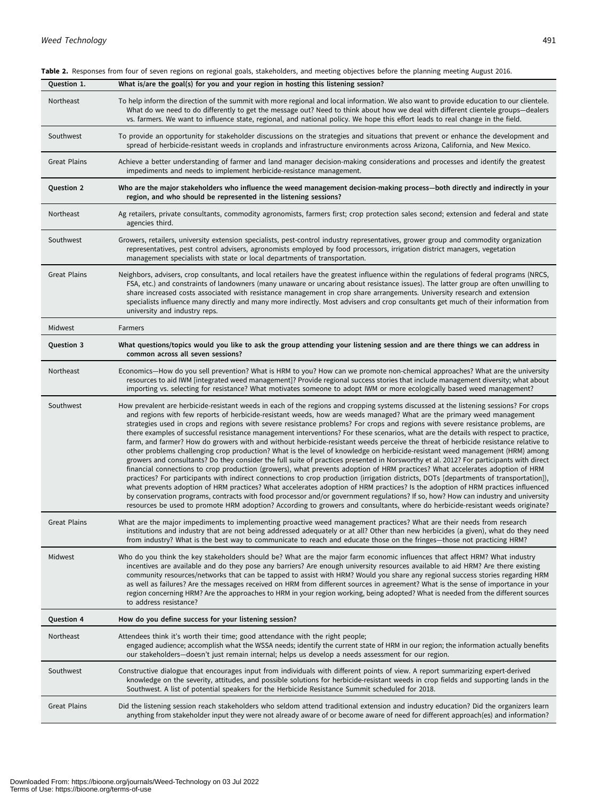| Question 1.         | What is/are the goal(s) for you and your region in hosting this listening session?                                                                                                                                                                                                                                                                                                                                                                                                                                                                                                                                                                                                                                                                                                                                                                                                                                                                                                                                                                                                                                                                                                                                                                                                                                                                                                                                                                                                                                                                                                                                                                      |
|---------------------|---------------------------------------------------------------------------------------------------------------------------------------------------------------------------------------------------------------------------------------------------------------------------------------------------------------------------------------------------------------------------------------------------------------------------------------------------------------------------------------------------------------------------------------------------------------------------------------------------------------------------------------------------------------------------------------------------------------------------------------------------------------------------------------------------------------------------------------------------------------------------------------------------------------------------------------------------------------------------------------------------------------------------------------------------------------------------------------------------------------------------------------------------------------------------------------------------------------------------------------------------------------------------------------------------------------------------------------------------------------------------------------------------------------------------------------------------------------------------------------------------------------------------------------------------------------------------------------------------------------------------------------------------------|
| Northeast           | To help inform the direction of the summit with more regional and local information. We also want to provide education to our clientele.<br>What do we need to do differently to get the message out? Need to think about how we deal with different clientele groups-dealers<br>vs. farmers. We want to influence state, regional, and national policy. We hope this effort leads to real change in the field.                                                                                                                                                                                                                                                                                                                                                                                                                                                                                                                                                                                                                                                                                                                                                                                                                                                                                                                                                                                                                                                                                                                                                                                                                                         |
| Southwest           | To provide an opportunity for stakeholder discussions on the strategies and situations that prevent or enhance the development and<br>spread of herbicide-resistant weeds in croplands and infrastructure environments across Arizona, California, and New Mexico.                                                                                                                                                                                                                                                                                                                                                                                                                                                                                                                                                                                                                                                                                                                                                                                                                                                                                                                                                                                                                                                                                                                                                                                                                                                                                                                                                                                      |
| <b>Great Plains</b> | Achieve a better understanding of farmer and land manager decision-making considerations and processes and identify the greatest<br>impediments and needs to implement herbicide-resistance management.                                                                                                                                                                                                                                                                                                                                                                                                                                                                                                                                                                                                                                                                                                                                                                                                                                                                                                                                                                                                                                                                                                                                                                                                                                                                                                                                                                                                                                                 |
| <b>Question 2</b>   | Who are the major stakeholders who influence the weed management decision-making process—both directly and indirectly in your<br>region, and who should be represented in the listening sessions?                                                                                                                                                                                                                                                                                                                                                                                                                                                                                                                                                                                                                                                                                                                                                                                                                                                                                                                                                                                                                                                                                                                                                                                                                                                                                                                                                                                                                                                       |
| Northeast           | Ag retailers, private consultants, commodity agronomists, farmers first; crop protection sales second; extension and federal and state<br>agencies third.                                                                                                                                                                                                                                                                                                                                                                                                                                                                                                                                                                                                                                                                                                                                                                                                                                                                                                                                                                                                                                                                                                                                                                                                                                                                                                                                                                                                                                                                                               |
| Southwest           | Growers, retailers, university extension specialists, pest-control industry representatives, grower group and commodity organization<br>representatives, pest control advisers, agronomists employed by food processors, irrigation district managers, vegetation<br>management specialists with state or local departments of transportation.                                                                                                                                                                                                                                                                                                                                                                                                                                                                                                                                                                                                                                                                                                                                                                                                                                                                                                                                                                                                                                                                                                                                                                                                                                                                                                          |
| <b>Great Plains</b> | Neighbors, advisers, crop consultants, and local retailers have the greatest influence within the regulations of federal programs (NRCS,<br>FSA, etc.) and constraints of landowners (many unaware or uncaring about resistance issues). The latter group are often unwilling to<br>share increased costs associated with resistance management in crop share arrangements. University research and extension<br>specialists influence many directly and many more indirectly. Most advisers and crop consultants get much of their information from<br>university and industry reps.                                                                                                                                                                                                                                                                                                                                                                                                                                                                                                                                                                                                                                                                                                                                                                                                                                                                                                                                                                                                                                                                   |
| Midwest             | Farmers                                                                                                                                                                                                                                                                                                                                                                                                                                                                                                                                                                                                                                                                                                                                                                                                                                                                                                                                                                                                                                                                                                                                                                                                                                                                                                                                                                                                                                                                                                                                                                                                                                                 |
| Question 3          | What questions/topics would you like to ask the group attending your listening session and are there things we can address in<br>common across all seven sessions?                                                                                                                                                                                                                                                                                                                                                                                                                                                                                                                                                                                                                                                                                                                                                                                                                                                                                                                                                                                                                                                                                                                                                                                                                                                                                                                                                                                                                                                                                      |
| Northeast           | Economics—How do you sell prevention? What is HRM to you? How can we promote non-chemical approaches? What are the university<br>resources to aid IWM [integrated weed management]? Provide regional success stories that include management diversity; what about<br>importing vs. selecting for resistance? What motivates someone to adopt IWM or more ecologically based weed management?                                                                                                                                                                                                                                                                                                                                                                                                                                                                                                                                                                                                                                                                                                                                                                                                                                                                                                                                                                                                                                                                                                                                                                                                                                                           |
| Southwest           | How prevalent are herbicide-resistant weeds in each of the regions and cropping systems discussed at the listening sessions? For crops<br>and regions with few reports of herbicide-resistant weeds, how are weeds managed? What are the primary weed management<br>strategies used in crops and regions with severe resistance problems? For crops and regions with severe resistance problems, are<br>there examples of successful resistance management interventions? For these scenarios, what are the details with respect to practice,<br>farm, and farmer? How do growers with and without herbicide-resistant weeds perceive the threat of herbicide resistance relative to<br>other problems challenging crop production? What is the level of knowledge on herbicide-resistant weed management (HRM) among<br>growers and consultants? Do they consider the full suite of practices presented in Norsworthy et al. 2012? For participants with direct<br>financial connections to crop production (growers), what prevents adoption of HRM practices? What accelerates adoption of HRM<br>practices? For participants with indirect connections to crop production (irrigation districts, DOTs [departments of transportation]),<br>what prevents adoption of HRM practices? What accelerates adoption of HRM practices? Is the adoption of HRM practices influenced<br>by conservation programs, contracts with food processor and/or government regulations? If so, how? How can industry and university<br>resources be used to promote HRM adoption? According to growers and consultants, where do herbicide-resistant weeds originate? |
| <b>Great Plains</b> | What are the major impediments to implementing proactive weed management practices? What are their needs from research<br>institutions and industry that are not being addressed adequately or at all? Other than new herbicides (a given), what do they need<br>from industry? What is the best way to communicate to reach and educate those on the fringes—those not practicing HRM?                                                                                                                                                                                                                                                                                                                                                                                                                                                                                                                                                                                                                                                                                                                                                                                                                                                                                                                                                                                                                                                                                                                                                                                                                                                                 |
| Midwest             | Who do you think the key stakeholders should be? What are the major farm economic influences that affect HRM? What industry<br>incentives are available and do they pose any barriers? Are enough university resources available to aid HRM? Are there existing<br>community resources/networks that can be tapped to assist with HRM? Would you share any regional success stories regarding HRM<br>as well as failures? Are the messages received on HRM from different sources in agreement? What is the sense of importance in your<br>region concerning HRM? Are the approaches to HRM in your region working, being adopted? What is needed from the different sources<br>to address resistance?                                                                                                                                                                                                                                                                                                                                                                                                                                                                                                                                                                                                                                                                                                                                                                                                                                                                                                                                                  |
| <b>Question 4</b>   | How do you define success for your listening session?                                                                                                                                                                                                                                                                                                                                                                                                                                                                                                                                                                                                                                                                                                                                                                                                                                                                                                                                                                                                                                                                                                                                                                                                                                                                                                                                                                                                                                                                                                                                                                                                   |
| Northeast           | Attendees think it's worth their time; good attendance with the right people;<br>engaged audience; accomplish what the WSSA needs; identify the current state of HRM in our region; the information actually benefits<br>our stakeholders—doesn't just remain internal; helps us develop a needs assessment for our region.                                                                                                                                                                                                                                                                                                                                                                                                                                                                                                                                                                                                                                                                                                                                                                                                                                                                                                                                                                                                                                                                                                                                                                                                                                                                                                                             |
| Southwest           | Constructive dialogue that encourages input from individuals with different points of view. A report summarizing expert-derived<br>knowledge on the severity, attitudes, and possible solutions for herbicide-resistant weeds in crop fields and supporting lands in the<br>Southwest. A list of potential speakers for the Herbicide Resistance Summit scheduled for 2018.                                                                                                                                                                                                                                                                                                                                                                                                                                                                                                                                                                                                                                                                                                                                                                                                                                                                                                                                                                                                                                                                                                                                                                                                                                                                             |
| <b>Great Plains</b> | Did the listening session reach stakeholders who seldom attend traditional extension and industry education? Did the organizers learn<br>anything from stakeholder input they were not already aware of or become aware of need for different approach(es) and information?                                                                                                                                                                                                                                                                                                                                                                                                                                                                                                                                                                                                                                                                                                                                                                                                                                                                                                                                                                                                                                                                                                                                                                                                                                                                                                                                                                             |

<span id="page-3-0"></span>Table 2. Responses from four of seven regions on regional goals, stakeholders, and meeting objectives before the planning meeting August 2016.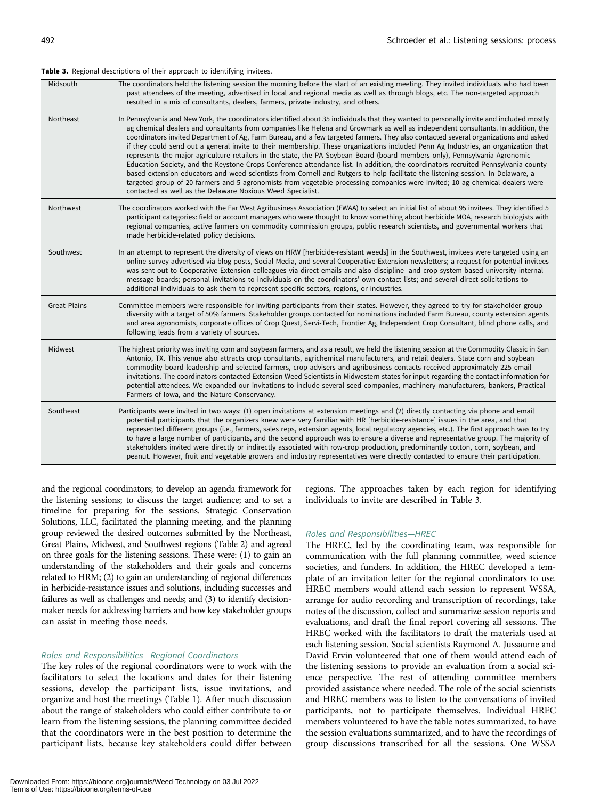#### <span id="page-4-0"></span>Table 3. Regional descriptions of their approach to identifying invitees.

| Midsouth            | The coordinators held the listening session the morning before the start of an existing meeting. They invited individuals who had been<br>past attendees of the meeting, advertised in local and regional media as well as through blogs, etc. The non-targeted approach<br>resulted in a mix of consultants, dealers, farmers, private industry, and others.                                                                                                                                                                                                                                                                                                                                                                                                                                                                                                                                                                                                                                                                                                                                                                                                  |
|---------------------|----------------------------------------------------------------------------------------------------------------------------------------------------------------------------------------------------------------------------------------------------------------------------------------------------------------------------------------------------------------------------------------------------------------------------------------------------------------------------------------------------------------------------------------------------------------------------------------------------------------------------------------------------------------------------------------------------------------------------------------------------------------------------------------------------------------------------------------------------------------------------------------------------------------------------------------------------------------------------------------------------------------------------------------------------------------------------------------------------------------------------------------------------------------|
| Northeast           | In Pennsylvania and New York, the coordinators identified about 35 individuals that they wanted to personally invite and included mostly<br>ag chemical dealers and consultants from companies like Helena and Growmark as well as independent consultants. In addition, the<br>coordinators invited Department of Ag, Farm Bureau, and a few targeted farmers. They also contacted several organizations and asked<br>if they could send out a general invite to their membership. These organizations included Penn Ag Industries, an organization that<br>represents the major agriculture retailers in the state, the PA Soybean Board (board members only), Pennsylvania Agronomic<br>Education Society, and the Keystone Crops Conference attendance list. In addition, the coordinators recruited Pennsylvania county-<br>based extension educators and weed scientists from Cornell and Rutgers to help facilitate the listening session. In Delaware, a<br>targeted group of 20 farmers and 5 agronomists from vegetable processing companies were invited; 10 ag chemical dealers were<br>contacted as well as the Delaware Noxious Weed Specialist. |
| Northwest           | The coordinators worked with the Far West Agribusiness Association (FWAA) to select an initial list of about 95 invitees. They identified 5<br>participant categories: field or account managers who were thought to know something about herbicide MOA, research biologists with<br>regional companies, active farmers on commodity commission groups, public research scientists, and governmental workers that<br>made herbicide-related policy decisions.                                                                                                                                                                                                                                                                                                                                                                                                                                                                                                                                                                                                                                                                                                  |
| Southwest           | In an attempt to represent the diversity of views on HRW [herbicide-resistant weeds] in the Southwest, invitees were targeted using an<br>online survey advertised via blog posts, Social Media, and several Cooperative Extension newsletters; a request for potential invitees<br>was sent out to Cooperative Extension colleagues via direct emails and also discipline- and crop system-based university internal<br>message boards; personal invitations to individuals on the coordinators' own contact lists; and several direct solicitations to<br>additional individuals to ask them to represent specific sectors, regions, or industries.                                                                                                                                                                                                                                                                                                                                                                                                                                                                                                          |
| <b>Great Plains</b> | Committee members were responsible for inviting participants from their states. However, they agreed to try for stakeholder group<br>diversity with a target of 50% farmers. Stakeholder groups contacted for nominations included Farm Bureau, county extension agents<br>and area agronomists, corporate offices of Crop Quest, Servi-Tech, Frontier Ag, Independent Crop Consultant, blind phone calls, and<br>following leads from a variety of sources.                                                                                                                                                                                                                                                                                                                                                                                                                                                                                                                                                                                                                                                                                                   |
| Midwest             | The highest priority was inviting corn and soybean farmers, and as a result, we held the listening session at the Commodity Classic in San<br>Antonio, TX. This venue also attracts crop consultants, agrichemical manufacturers, and retail dealers. State corn and soybean<br>commodity board leadership and selected farmers, crop advisers and agribusiness contacts received approximately 225 email<br>invitations. The coordinators contacted Extension Weed Scientists in Midwestern states for input regarding the contact information for<br>potential attendees. We expanded our invitations to include several seed companies, machinery manufacturers, bankers, Practical<br>Farmers of Iowa, and the Nature Conservancy.                                                                                                                                                                                                                                                                                                                                                                                                                         |
| Southeast           | Participants were invited in two ways: (1) open invitations at extension meetings and (2) directly contacting via phone and email<br>potential participants that the organizers knew were very familiar with HR [herbicide-resistance] issues in the area, and that<br>represented different groups (i.e., farmers, sales reps, extension agents, local regulatory agencies, etc.). The first approach was to try<br>to have a large number of participants, and the second approach was to ensure a diverse and representative group. The majority of<br>stakeholders invited were directly or indirectly associated with row-crop production, predominantly cotton, corn, soybean, and<br>peanut. However, fruit and vegetable growers and industry representatives were directly contacted to ensure their participation.                                                                                                                                                                                                                                                                                                                                   |

and the regional coordinators; to develop an agenda framework for the listening sessions; to discuss the target audience; and to set a timeline for preparing for the sessions. Strategic Conservation Solutions, LLC, facilitated the planning meeting, and the planning group reviewed the desired outcomes submitted by the Northeast, Great Plains, Midwest, and Southwest regions ([Table 2](#page-3-0)) and agreed on three goals for the listening sessions. These were: (1) to gain an understanding of the stakeholders and their goals and concerns related to HRM; (2) to gain an understanding of regional differences in herbicide-resistance issues and solutions, including successes and failures as well as challenges and needs; and (3) to identify decisionmaker needs for addressing barriers and how key stakeholder groups can assist in meeting those needs.

#### Roles and Responsibilities—Regional Coordinators

The key roles of the regional coordinators were to work with the facilitators to select the locations and dates for their listening sessions, develop the participant lists, issue invitations, and organize and host the meetings ([Table 1](#page-2-0)). After much discussion about the range of stakeholders who could either contribute to or learn from the listening sessions, the planning committee decided that the coordinators were in the best position to determine the participant lists, because key stakeholders could differ between

Downloaded From: https://bioone.org/journals/Weed-Technology on 03 Jul 2022 Terms of Use: https://bioone.org/terms-of-use

regions. The approaches taken by each region for identifying individuals to invite are described in Table 3.

#### Roles and Responsibilities—HREC

The HREC, led by the coordinating team, was responsible for communication with the full planning committee, weed science societies, and funders. In addition, the HREC developed a template of an invitation letter for the regional coordinators to use. HREC members would attend each session to represent WSSA, arrange for audio recording and transcription of recordings, take notes of the discussion, collect and summarize session reports and evaluations, and draft the final report covering all sessions. The HREC worked with the facilitators to draft the materials used at each listening session. Social scientists Raymond A. Jussaume and David Ervin volunteered that one of them would attend each of the listening sessions to provide an evaluation from a social science perspective. The rest of attending committee members provided assistance where needed. The role of the social scientists and HREC members was to listen to the conversations of invited participants, not to participate themselves. Individual HREC members volunteered to have the table notes summarized, to have the session evaluations summarized, and to have the recordings of group discussions transcribed for all the sessions. One WSSA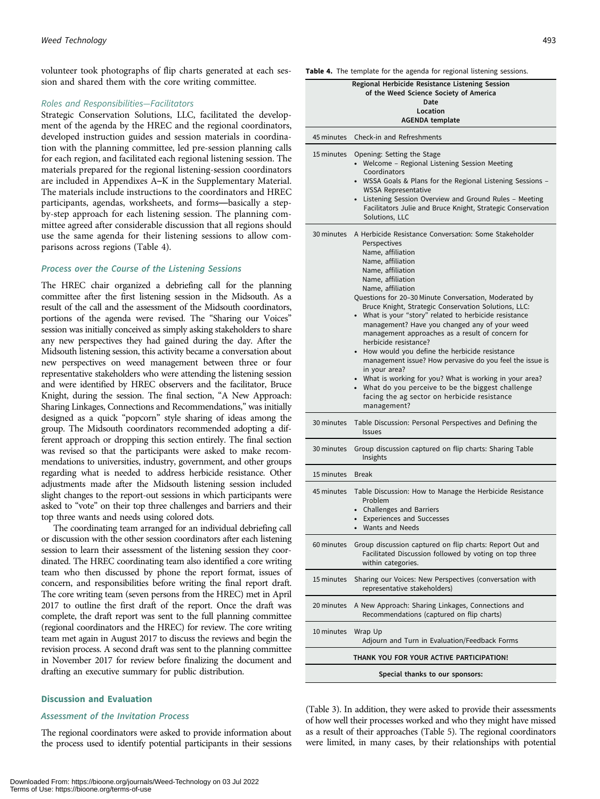volunteer took photographs of flip charts generated at each session and shared them with the core writing committee.

#### Roles and Responsibilities—Facilitators

Strategic Conservation Solutions, LLC, facilitated the development of the agenda by the HREC and the regional coordinators, developed instruction guides and session materials in coordination with the planning committee, led pre-session planning calls for each region, and facilitated each regional listening session. The materials prepared for the regional listening-session coordinators are included in Appendixes A–K in the Supplementary Material. The materials include instructions to the coordinators and HREC participants, agendas, worksheets, and forms—basically a stepby-step approach for each listening session. The planning committee agreed after considerable discussion that all regions should use the same agenda for their listening sessions to allow comparisons across regions (Table 4).

#### Process over the Course of the Listening Sessions

The HREC chair organized a debriefing call for the planning committee after the first listening session in the Midsouth. As a result of the call and the assessment of the Midsouth coordinators, portions of the agenda were revised. The "Sharing our Voices" session was initially conceived as simply asking stakeholders to share any new perspectives they had gained during the day. After the Midsouth listening session, this activity became a conversation about new perspectives on weed management between three or four representative stakeholders who were attending the listening session and were identified by HREC observers and the facilitator, Bruce Knight, during the session. The final section, "A New Approach: Sharing Linkages, Connections and Recommendations," was initially designed as a quick "popcorn" style sharing of ideas among the group. The Midsouth coordinators recommended adopting a different approach or dropping this section entirely. The final section was revised so that the participants were asked to make recommendations to universities, industry, government, and other groups regarding what is needed to address herbicide resistance. Other adjustments made after the Midsouth listening session included slight changes to the report-out sessions in which participants were asked to "vote" on their top three challenges and barriers and their top three wants and needs using colored dots.

The coordinating team arranged for an individual debriefing call or discussion with the other session coordinators after each listening session to learn their assessment of the listening session they coordinated. The HREC coordinating team also identified a core writing team who then discussed by phone the report format, issues of concern, and responsibilities before writing the final report draft. The core writing team (seven persons from the HREC) met in April 2017 to outline the first draft of the report. Once the draft was complete, the draft report was sent to the full planning committee (regional coordinators and the HREC) for review. The core writing team met again in August 2017 to discuss the reviews and begin the revision process. A second draft was sent to the planning committee in November 2017 for review before finalizing the document and drafting an executive summary for public distribution.

#### Discussion and Evaluation

#### Assessment of the Invitation Process

The regional coordinators were asked to provide information about the process used to identify potential participants in their sessions Table 4. The template for the agenda for regional listening sessions.

|                                 | $\circ$                                                                                                                                                                                                                                                                                                                                                                                                                                                                                                                                                                                                                                                                                                                                                                                                  |  |
|---------------------------------|----------------------------------------------------------------------------------------------------------------------------------------------------------------------------------------------------------------------------------------------------------------------------------------------------------------------------------------------------------------------------------------------------------------------------------------------------------------------------------------------------------------------------------------------------------------------------------------------------------------------------------------------------------------------------------------------------------------------------------------------------------------------------------------------------------|--|
|                                 | Regional Herbicide Resistance Listening Session<br>of the Weed Science Society of America<br>Date<br>Location<br>AGENDA template                                                                                                                                                                                                                                                                                                                                                                                                                                                                                                                                                                                                                                                                         |  |
| 45 minutes                      | Check-in and Refreshments                                                                                                                                                                                                                                                                                                                                                                                                                                                                                                                                                                                                                                                                                                                                                                                |  |
| 15 minutes                      | Opening: Setting the Stage<br>• Welcome - Regional Listening Session Meeting<br>Coordinators<br>WSSA Goals & Plans for the Regional Listening Sessions -<br><b>WSSA Representative</b><br>• Listening Session Overview and Ground Rules - Meeting<br>Facilitators Julie and Bruce Knight, Strategic Conservation<br>Solutions, LLC                                                                                                                                                                                                                                                                                                                                                                                                                                                                       |  |
| 30 minutes                      | A Herbicide Resistance Conversation: Some Stakeholder<br>Perspectives<br>Name, affiliation<br>Name, affiliation<br>Name, affiliation<br>Name, affiliation<br>Name, affiliation<br>Questions for 20-30 Minute Conversation, Moderated by<br>Bruce Knight, Strategic Conservation Solutions, LLC:<br>• What is your "story" related to herbicide resistance<br>management? Have you changed any of your weed<br>management approaches as a result of concern for<br>herbicide resistance?<br>• How would you define the herbicide resistance<br>management issue? How pervasive do you feel the issue is<br>in your area?<br>• What is working for you? What is working in your area?<br>• What do you perceive to be the biggest challenge<br>facing the ag sector on herbicide resistance<br>management? |  |
| 30 minutes                      | Table Discussion: Personal Perspectives and Defining the<br><b>Issues</b>                                                                                                                                                                                                                                                                                                                                                                                                                                                                                                                                                                                                                                                                                                                                |  |
| 30 minutes                      | Group discussion captured on flip charts: Sharing Table<br>Insights                                                                                                                                                                                                                                                                                                                                                                                                                                                                                                                                                                                                                                                                                                                                      |  |
| 15 minutes                      | <b>Break</b>                                                                                                                                                                                                                                                                                                                                                                                                                                                                                                                                                                                                                                                                                                                                                                                             |  |
| 45 minutes                      | Table Discussion: How to Manage the Herbicide Resistance<br>Problem<br>• Challenges and Barriers<br>• Experiences and Successes<br>Wants and Needs                                                                                                                                                                                                                                                                                                                                                                                                                                                                                                                                                                                                                                                       |  |
| 60 minutes                      | Group discussion captured on flip charts: Report Out and<br>Facilitated Discussion followed by voting on top three<br>within categories.                                                                                                                                                                                                                                                                                                                                                                                                                                                                                                                                                                                                                                                                 |  |
| 15 minutes                      | Sharing our Voices: New Perspectives (conversation with<br>representative stakeholders)                                                                                                                                                                                                                                                                                                                                                                                                                                                                                                                                                                                                                                                                                                                  |  |
| 20 minutes                      | A New Approach: Sharing Linkages, Connections and<br>Recommendations (captured on flip charts)                                                                                                                                                                                                                                                                                                                                                                                                                                                                                                                                                                                                                                                                                                           |  |
| 10 minutes                      | Wrap Up<br>Adjourn and Turn in Evaluation/Feedback Forms                                                                                                                                                                                                                                                                                                                                                                                                                                                                                                                                                                                                                                                                                                                                                 |  |
|                                 | THANK YOU FOR YOUR ACTIVE PARTICIPATION!                                                                                                                                                                                                                                                                                                                                                                                                                                                                                                                                                                                                                                                                                                                                                                 |  |
| Special thanks to our sponsors: |                                                                                                                                                                                                                                                                                                                                                                                                                                                                                                                                                                                                                                                                                                                                                                                                          |  |

([Table 3\)](#page-4-0). In addition, they were asked to provide their assessments of how well their processes worked and who they might have missed as a result of their approaches [\(Table 5](#page-6-0)). The regional coordinators were limited, in many cases, by their relationships with potential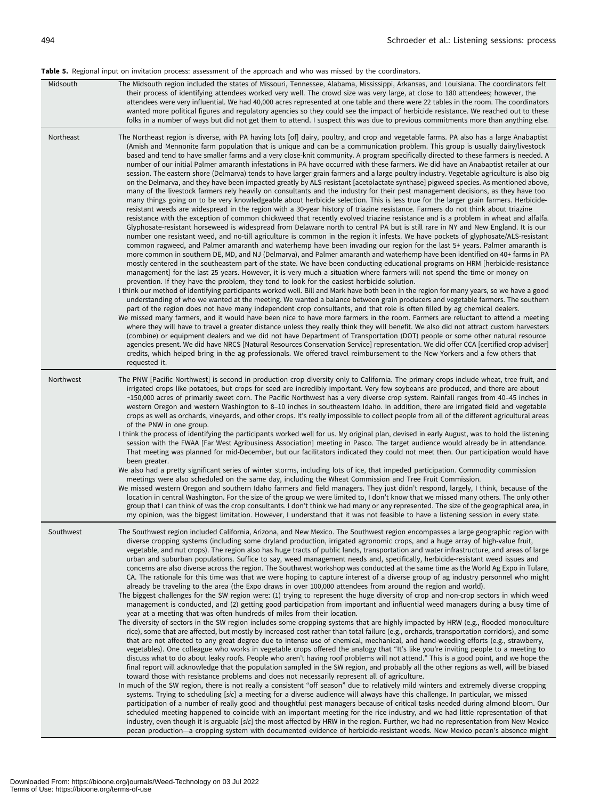#### <span id="page-6-0"></span>Table 5. Regional input on invitation process: assessment of the approach and who was missed by the coordinators.

| Midsouth  | The Midsouth region included the states of Missouri, Tennessee, Alabama, Mississippi, Arkansas, and Louisiana. The coordinators felt<br>their process of identifying attendees worked very well. The crowd size was very large, at close to 180 attendees; however, the<br>attendees were very influential. We had 40,000 acres represented at one table and there were 22 tables in the room. The coordinators<br>wanted more political figures and regulatory agencies so they could see the impact of herbicide resistance. We reached out to these<br>folks in a number of ways but did not get them to attend. I suspect this was due to previous commitments more than anything else.                                                                                                                                                                                                                                                                                                                                                                                                                                                                                                                                                                                                                                                                                                                                                                                                                                                                                                                                                                                                                                                                                                                                                                                                                                                                                                                                                                                                                                                                                                                                                                                                                                                                                                                                                                                                                                                                                                                                                                                                                                                                                                                                                                                                                                                                                                                                                                                                                                                                                                                                                                                                                                                                                                                             |
|-----------|-------------------------------------------------------------------------------------------------------------------------------------------------------------------------------------------------------------------------------------------------------------------------------------------------------------------------------------------------------------------------------------------------------------------------------------------------------------------------------------------------------------------------------------------------------------------------------------------------------------------------------------------------------------------------------------------------------------------------------------------------------------------------------------------------------------------------------------------------------------------------------------------------------------------------------------------------------------------------------------------------------------------------------------------------------------------------------------------------------------------------------------------------------------------------------------------------------------------------------------------------------------------------------------------------------------------------------------------------------------------------------------------------------------------------------------------------------------------------------------------------------------------------------------------------------------------------------------------------------------------------------------------------------------------------------------------------------------------------------------------------------------------------------------------------------------------------------------------------------------------------------------------------------------------------------------------------------------------------------------------------------------------------------------------------------------------------------------------------------------------------------------------------------------------------------------------------------------------------------------------------------------------------------------------------------------------------------------------------------------------------------------------------------------------------------------------------------------------------------------------------------------------------------------------------------------------------------------------------------------------------------------------------------------------------------------------------------------------------------------------------------------------------------------------------------------------------------------------------------------------------------------------------------------------------------------------------------------------------------------------------------------------------------------------------------------------------------------------------------------------------------------------------------------------------------------------------------------------------------------------------------------------------------------------------------------------------------------------------------------------------------------------------------------------------|
| Northeast | The Northeast region is diverse, with PA having lots [of] dairy, poultry, and crop and vegetable farms. PA also has a large Anabaptist<br>(Amish and Mennonite farm population that is unique and can be a communication problem. This group is usually dairy/livestock<br>based and tend to have smaller farms and a very close-knit community. A program specifically directed to these farmers is needed. A<br>number of our initial Palmer amaranth infestations in PA have occurred with these farmers. We did have an Anabaptist retailer at our<br>session. The eastern shore (Delmarva) tends to have larger grain farmers and a large poultry industry. Vegetable agriculture is also big<br>on the Delmarva, and they have been impacted greatly by ALS-resistant [acetolactate synthase] pigweed species. As mentioned above,<br>many of the livestock farmers rely heavily on consultants and the industry for their pest management decisions, as they have too<br>many things going on to be very knowledgeable about herbicide selection. This is less true for the larger grain farmers. Herbicide-<br>resistant weeds are widespread in the region with a 30-year history of triazine resistance. Farmers do not think about triazine<br>resistance with the exception of common chickweed that recently evolved triazine resistance and is a problem in wheat and alfalfa.<br>Glyphosate-resistant horseweed is widespread from Delaware north to central PA but is still rare in NY and New England. It is our<br>number one resistant weed, and no-till agriculture is common in the region it infests. We have pockets of glyphosate/ALS-resistant<br>common ragweed, and Palmer amaranth and waterhemp have been invading our region for the last 5+ years. Palmer amaranth is<br>more common in southern DE, MD, and NJ (Delmarva), and Palmer amaranth and waterhemp have been identified on 40+ farms in PA<br>mostly centered in the southeastern part of the state. We have been conducting educational programs on HRM [herbicide-resistance<br>management] for the last 25 years. However, it is very much a situation where farmers will not spend the time or money on<br>prevention. If they have the problem, they tend to look for the easiest herbicide solution.<br>I think our method of identifying participants worked well. Bill and Mark have both been in the region for many years, so we have a good<br>understanding of who we wanted at the meeting. We wanted a balance between grain producers and vegetable farmers. The southern<br>part of the region does not have many independent crop consultants, and that role is often filled by ag chemical dealers.<br>We missed many farmers, and it would have been nice to have more farmers in the room. Farmers are reluctant to attend a meeting<br>where they will have to travel a greater distance unless they really think they will benefit. We also did not attract custom harvesters<br>(combine) or equipment dealers and we did not have Department of Transportation (DOT) people or some other natural resource<br>agencies present. We did have NRCS [Natural Resources Conservation Service] representation. We did offer CCA [certified crop adviser]<br>credits, which helped bring in the ag professionals. We offered travel reimbursement to the New Yorkers and a few others that<br>requested it. |
| Northwest | The PNW [Pacific Northwest] is second in production crop diversity only to California. The primary crops include wheat, tree fruit, and<br>irrigated crops like potatoes, but crops for seed are incredibly important. Very few soybeans are produced, and there are about<br>~150,000 acres of primarily sweet corn. The Pacific Northwest has a very diverse crop system. Rainfall ranges from 40–45 inches in<br>western Oregon and western Washington to 8-10 inches in southeastern Idaho. In addition, there are irrigated field and vegetable<br>crops as well as orchards, vineyards, and other crops. It's really impossible to collect people from all of the different agricultural areas<br>of the PNW in one group.<br>I think the process of identifying the participants worked well for us. My original plan, devised in early August, was to hold the listening<br>session with the FWAA [Far West Agribusiness Association] meeting in Pasco. The target audience would already be in attendance.<br>That meeting was planned for mid-December, but our facilitators indicated they could not meet then. Our participation would have<br>been greater.<br>We also had a pretty significant series of winter storms, including lots of ice, that impeded participation. Commodity commission<br>meetings were also scheduled on the same day, including the Wheat Commission and Tree Fruit Commission.<br>We missed western Oregon and southern Idaho farmers and field managers. They just didn't respond, largely, I think, because of the<br>location in central Washington. For the size of the group we were limited to, I don't know that we missed many others. The only other<br>group that I can think of was the crop consultants. I don't think we had many or any represented. The size of the geographical area, in<br>my opinion, was the biggest limitation. However, I understand that it was not feasible to have a listening session in every state.                                                                                                                                                                                                                                                                                                                                                                                                                                                                                                                                                                                                                                                                                                                                                                                                                                                                                                                                                                                                                                                                                                                                                                                                                                                                                                                                                                                                                                |
| Southwest | The Southwest region included California, Arizona, and New Mexico. The Southwest region encompasses a large geographic region with<br>diverse cropping systems (including some dryland production, irrigated agronomic crops, and a huge array of high-value fruit,<br>vegetable, and nut crops). The region also has huge tracts of public lands, transportation and water infrastructure, and areas of large<br>urban and suburban populations. Suffice to say, weed management needs and, specifically, herbicide-resistant weed issues and<br>concerns are also diverse across the region. The Southwest workshop was conducted at the same time as the World Ag Expo in Tulare,<br>CA. The rationale for this time was that we were hoping to capture interest of a diverse group of ag industry personnel who might<br>already be traveling to the area (the Expo draws in over 100,000 attendees from around the region and world).<br>The biggest challenges for the SW region were: (1) trying to represent the huge diversity of crop and non-crop sectors in which weed<br>management is conducted, and (2) getting good participation from important and influential weed managers during a busy time of<br>year at a meeting that was often hundreds of miles from their location.<br>The diversity of sectors in the SW region includes some cropping systems that are highly impacted by HRW (e.g., flooded monoculture<br>rice), some that are affected, but mostly by increased cost rather than total failure (e.g., orchards, transportation corridors), and some<br>that are not affected to any great degree due to intense use of chemical, mechanical, and hand-weeding efforts (e.g., strawberry,<br>vegetables). One colleague who works in vegetable crops offered the analogy that "It's like you're inviting people to a meeting to<br>discuss what to do about leaky roofs. People who aren't having roof problems will not attend." This is a good point, and we hope the<br>final report will acknowledge that the population sampled in the SW region, and probably all the other regions as well, will be biased<br>toward those with resistance problems and does not necessarily represent all of agriculture.<br>In much of the SW region, there is not really a consistent "off season" due to relatively mild winters and extremely diverse cropping<br>systems. Trying to scheduling [sic] a meeting for a diverse audience will always have this challenge. In particular, we missed<br>participation of a number of really good and thoughtful pest managers because of critical tasks needed during almond bloom. Our<br>scheduled meeting happened to coincide with an important meeting for the rice industry, and we had little representation of that<br>industry, even though it is arguable [sic] the most affected by HRW in the region. Further, we had no representation from New Mexico<br>pecan production—a cropping system with documented evidence of herbicide-resistant weeds. New Mexico pecan's absence might                                                                                                                                                                                                                                                                                                                                               |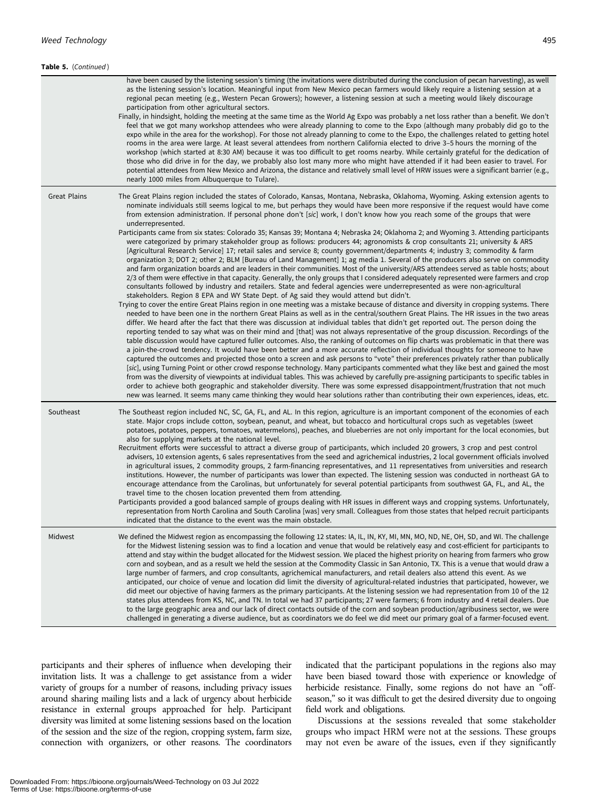| Table 5. (Continued) |                                                                                                                                                                                                                                                                                                                                                                                                                                                                                                                                                                                                                                                                                                                                                                                                                                                                                                                                                                                                                                                                                                                                                                                                                                                                                                                                                                                                                                                                                                                                                                                                                                                                                                                                                                                                                                                                                                                                                                                                                                                                                                                                                                                                                                                                                                                                                                                                                                                                                                                                                                                                                                                                                                                                                                                                                                                                                                                                                                                                                         |
|----------------------|-------------------------------------------------------------------------------------------------------------------------------------------------------------------------------------------------------------------------------------------------------------------------------------------------------------------------------------------------------------------------------------------------------------------------------------------------------------------------------------------------------------------------------------------------------------------------------------------------------------------------------------------------------------------------------------------------------------------------------------------------------------------------------------------------------------------------------------------------------------------------------------------------------------------------------------------------------------------------------------------------------------------------------------------------------------------------------------------------------------------------------------------------------------------------------------------------------------------------------------------------------------------------------------------------------------------------------------------------------------------------------------------------------------------------------------------------------------------------------------------------------------------------------------------------------------------------------------------------------------------------------------------------------------------------------------------------------------------------------------------------------------------------------------------------------------------------------------------------------------------------------------------------------------------------------------------------------------------------------------------------------------------------------------------------------------------------------------------------------------------------------------------------------------------------------------------------------------------------------------------------------------------------------------------------------------------------------------------------------------------------------------------------------------------------------------------------------------------------------------------------------------------------------------------------------------------------------------------------------------------------------------------------------------------------------------------------------------------------------------------------------------------------------------------------------------------------------------------------------------------------------------------------------------------------------------------------------------------------------------------------------------------------|
|                      | have been caused by the listening session's timing (the invitations were distributed during the conclusion of pecan harvesting), as well<br>as the listening session's location. Meaningful input from New Mexico pecan farmers would likely require a listening session at a<br>regional pecan meeting (e.g., Western Pecan Growers); however, a listening session at such a meeting would likely discourage<br>participation from other agricultural sectors.<br>Finally, in hindsight, holding the meeting at the same time as the World Ag Expo was probably a net loss rather than a benefit. We don't<br>feel that we got many workshop attendees who were already planning to come to the Expo (although many probably did go to the<br>expo while in the area for the workshop). For those not already planning to come to the Expo, the challenges related to getting hotel<br>rooms in the area were large. At least several attendees from northern California elected to drive 3-5 hours the morning of the<br>workshop (which started at 8:30 AM) because it was too difficult to get rooms nearby. While certainly grateful for the dedication of<br>those who did drive in for the day, we probably also lost many more who might have attended if it had been easier to travel. For<br>potential attendees from New Mexico and Arizona, the distance and relatively small level of HRW issues were a significant barrier (e.g.,<br>nearly 1000 miles from Albuquerque to Tulare).                                                                                                                                                                                                                                                                                                                                                                                                                                                                                                                                                                                                                                                                                                                                                                                                                                                                                                                                                                                                                                                                                                                                                                                                                                                                                                                                                                                                                                                                                                                       |
| <b>Great Plains</b>  | The Great Plains region included the states of Colorado, Kansas, Montana, Nebraska, Oklahoma, Wyoming. Asking extension agents to<br>nominate individuals still seems logical to me, but perhaps they would have been more responsive if the request would have come<br>from extension administration. If personal phone don't [sic] work, I don't know how you reach some of the groups that were<br>underrepresented.<br>Participants came from six states: Colorado 35; Kansas 39; Montana 4; Nebraska 24; Oklahoma 2; and Wyoming 3. Attending participants<br>were categorized by primary stakeholder group as follows: producers 44; agronomists & crop consultants 21; university & ARS<br>[Agricultural Research Service] 17; retail sales and service 8; county government/departments 4; industry 3; commodity & farm<br>organization 3; DOT 2; other 2; BLM [Bureau of Land Management] 1; ag media 1. Several of the producers also serve on commodity<br>and farm organization boards and are leaders in their communities. Most of the university/ARS attendees served as table hosts; about<br>2/3 of them were effective in that capacity. Generally, the only groups that I considered adequately represented were farmers and crop<br>consultants followed by industry and retailers. State and federal agencies were underrepresented as were non-agricultural<br>stakeholders. Region 8 EPA and WY State Dept. of Ag said they would attend but didn't.<br>Trying to cover the entire Great Plains region in one meeting was a mistake because of distance and diversity in cropping systems. There<br>needed to have been one in the northern Great Plains as well as in the central/southern Great Plains. The HR issues in the two areas<br>differ. We heard after the fact that there was discussion at individual tables that didn't get reported out. The person doing the<br>reporting tended to say what was on their mind and [that] was not always representative of the group discussion. Recordings of the<br>table discussion would have captured fuller outcomes. Also, the ranking of outcomes on flip charts was problematic in that there was<br>a join-the-crowd tendency. It would have been better and a more accurate reflection of individual thoughts for someone to have<br>captured the outcomes and projected those onto a screen and ask persons to "vote" their preferences privately rather than publically<br>[sic], using Turning Point or other crowd response technology. Many participants commented what they like best and gained the most<br>from was the diversity of viewpoints at individual tables. This was achieved by carefully pre-assigning participants to specific tables in<br>order to achieve both geographic and stakeholder diversity. There was some expressed disappointment/frustration that not much<br>new was learned. It seems many came thinking they would hear solutions rather than contributing their own experiences, ideas, etc. |
| Southeast            | The Southeast region included NC, SC, GA, FL, and AL. In this region, agriculture is an important component of the economies of each<br>state. Major crops include cotton, soybean, peanut, and wheat, but tobacco and horticultural crops such as vegetables (sweet<br>potatoes, potatoes, peppers, tomatoes, watermelons), peaches, and blueberries are not only important for the local economies, but<br>also for supplying markets at the national level.<br>Recruitment efforts were successful to attract a diverse group of participants, which included 20 growers, 3 crop and pest control<br>advisers, 10 extension agents, 6 sales representatives from the seed and agrichemical industries, 2 local government officials involved<br>in agricultural issues, 2 commodity groups, 2 farm-financing representatives, and 11 representatives from universities and research<br>institutions. However, the number of participants was lower than expected. The listening session was conducted in northeast GA to<br>encourage attendance from the Carolinas, but unfortunately for several potential participants from southwest GA, FL, and AL, the<br>travel time to the chosen location prevented them from attending.<br>Participants provided a good balanced sample of groups dealing with HR issues in different ways and cropping systems. Unfortunately,<br>representation from North Carolina and South Carolina [was] very small. Colleagues from those states that helped recruit participants<br>indicated that the distance to the event was the main obstacle.                                                                                                                                                                                                                                                                                                                                                                                                                                                                                                                                                                                                                                                                                                                                                                                                                                                                                                                                                                                                                                                                                                                                                                                                                                                                                                                                                                                                                                |
| Midwest              | We defined the Midwest region as encompassing the following 12 states: IA, IL, IN, KY, MI, MN, MO, ND, NE, OH, SD, and WI. The challenge<br>for the Midwest listening session was to find a location and venue that would be relatively easy and cost-efficient for participants to<br>attend and stay within the budget allocated for the Midwest session. We placed the highest priority on hearing from farmers who grow<br>corn and soybean, and as a result we held the session at the Commodity Classic in San Antonio, TX. This is a venue that would draw a<br>large number of farmers, and crop consultants, agrichemical manufacturers, and retail dealers also attend this event. As we<br>anticipated, our choice of venue and location did limit the diversity of agricultural-related industries that participated, however, we<br>did meet our objective of having farmers as the primary participants. At the listening session we had representation from 10 of the 12<br>states plus attendees from KS, NC, and TN. In total we had 37 participants; 27 were farmers; 6 from industry and 4 retail dealers. Due<br>to the large geographic area and our lack of direct contacts outside of the corn and soybean production/agribusiness sector, we were<br>challenged in generating a diverse audience, but as coordinators we do feel we did meet our primary goal of a farmer-focused event.                                                                                                                                                                                                                                                                                                                                                                                                                                                                                                                                                                                                                                                                                                                                                                                                                                                                                                                                                                                                                                                                                                                                                                                                                                                                                                                                                                                                                                                                                                                                                                                                        |

participants and their spheres of influence when developing their invitation lists. It was a challenge to get assistance from a wider variety of groups for a number of reasons, including privacy issues around sharing mailing lists and a lack of urgency about herbicide resistance in external groups approached for help. Participant diversity was limited at some listening sessions based on the location of the session and the size of the region, cropping system, farm size, connection with organizers, or other reasons. The coordinators

indicated that the participant populations in the regions also may have been biased toward those with experience or knowledge of herbicide resistance. Finally, some regions do not have an "offseason," so it was difficult to get the desired diversity due to ongoing field work and obligations.

Discussions at the sessions revealed that some stakeholder groups who impact HRM were not at the sessions. These groups may not even be aware of the issues, even if they significantly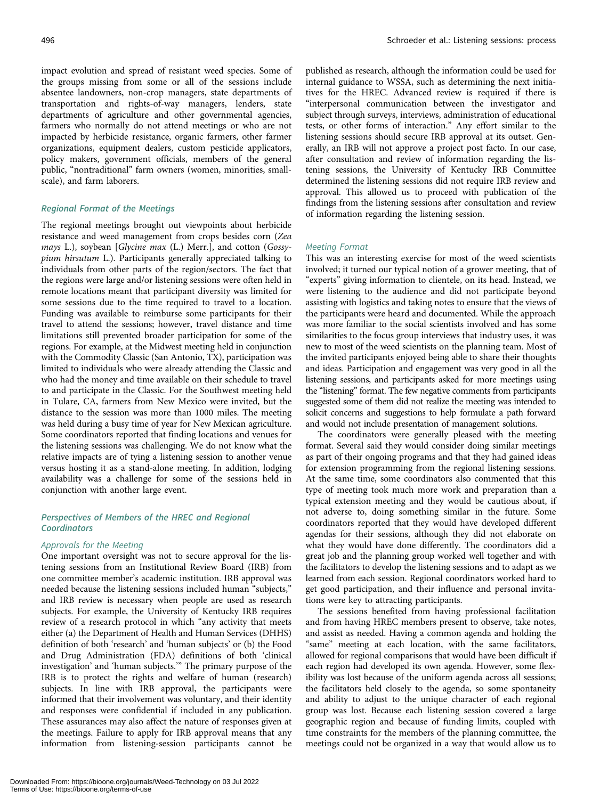impact evolution and spread of resistant weed species. Some of the groups missing from some or all of the sessions include absentee landowners, non-crop managers, state departments of transportation and rights-of-way managers, lenders, state departments of agriculture and other governmental agencies, farmers who normally do not attend meetings or who are not impacted by herbicide resistance, organic farmers, other farmer organizations, equipment dealers, custom pesticide applicators, policy makers, government officials, members of the general public, "nontraditional" farm owners (women, minorities, smallscale), and farm laborers.

#### Regional Format of the Meetings

The regional meetings brought out viewpoints about herbicide resistance and weed management from crops besides corn (Zea mays L.), soybean [Glycine max (L.) Merr.], and cotton (Gossypium hirsutum L.). Participants generally appreciated talking to individuals from other parts of the region/sectors. The fact that the regions were large and/or listening sessions were often held in remote locations meant that participant diversity was limited for some sessions due to the time required to travel to a location. Funding was available to reimburse some participants for their travel to attend the sessions; however, travel distance and time limitations still prevented broader participation for some of the regions. For example, at the Midwest meeting held in conjunction with the Commodity Classic (San Antonio, TX), participation was limited to individuals who were already attending the Classic and who had the money and time available on their schedule to travel to and participate in the Classic. For the Southwest meeting held in Tulare, CA, farmers from New Mexico were invited, but the distance to the session was more than 1000 miles. The meeting was held during a busy time of year for New Mexican agriculture. Some coordinators reported that finding locations and venues for the listening sessions was challenging. We do not know what the relative impacts are of tying a listening session to another venue versus hosting it as a stand-alone meeting. In addition, lodging availability was a challenge for some of the sessions held in conjunction with another large event.

## Perspectives of Members of the HREC and Regional **Coordinators**

#### Approvals for the Meeting

One important oversight was not to secure approval for the listening sessions from an Institutional Review Board (IRB) from one committee member's academic institution. IRB approval was needed because the listening sessions included human "subjects," and IRB review is necessary when people are used as research subjects. For example, the University of Kentucky IRB requires review of a research protocol in which "any activity that meets either (a) the Department of Health and Human Services (DHHS) definition of both 'research' and 'human subjects' or (b) the Food and Drug Administration (FDA) definitions of both 'clinical investigation' and 'human subjects.'" The primary purpose of the IRB is to protect the rights and welfare of human (research) subjects. In line with IRB approval, the participants were informed that their involvement was voluntary, and their identity and responses were confidential if included in any publication. These assurances may also affect the nature of responses given at the meetings. Failure to apply for IRB approval means that any information from listening-session participants cannot be

published as research, although the information could be used for internal guidance to WSSA, such as determining the next initiatives for the HREC. Advanced review is required if there is "interpersonal communication between the investigator and subject through surveys, interviews, administration of educational tests, or other forms of interaction." Any effort similar to the listening sessions should secure IRB approval at its outset. Generally, an IRB will not approve a project post facto. In our case, after consultation and review of information regarding the listening sessions, the University of Kentucky IRB Committee determined the listening sessions did not require IRB review and approval. This allowed us to proceed with publication of the findings from the listening sessions after consultation and review of information regarding the listening session.

#### Meeting Format

This was an interesting exercise for most of the weed scientists involved; it turned our typical notion of a grower meeting, that of "experts" giving information to clientele, on its head. Instead, we were listening to the audience and did not participate beyond assisting with logistics and taking notes to ensure that the views of the participants were heard and documented. While the approach was more familiar to the social scientists involved and has some similarities to the focus group interviews that industry uses, it was new to most of the weed scientists on the planning team. Most of the invited participants enjoyed being able to share their thoughts and ideas. Participation and engagement was very good in all the listening sessions, and participants asked for more meetings using the "listening" format. The few negative comments from participants suggested some of them did not realize the meeting was intended to solicit concerns and suggestions to help formulate a path forward and would not include presentation of management solutions.

The coordinators were generally pleased with the meeting format. Several said they would consider doing similar meetings as part of their ongoing programs and that they had gained ideas for extension programming from the regional listening sessions. At the same time, some coordinators also commented that this type of meeting took much more work and preparation than a typical extension meeting and they would be cautious about, if not adverse to, doing something similar in the future. Some coordinators reported that they would have developed different agendas for their sessions, although they did not elaborate on what they would have done differently. The coordinators did a great job and the planning group worked well together and with the facilitators to develop the listening sessions and to adapt as we learned from each session. Regional coordinators worked hard to get good participation, and their influence and personal invitations were key to attracting participants.

The sessions benefited from having professional facilitation and from having HREC members present to observe, take notes, and assist as needed. Having a common agenda and holding the "same" meeting at each location, with the same facilitators, allowed for regional comparisons that would have been difficult if each region had developed its own agenda. However, some flexibility was lost because of the uniform agenda across all sessions; the facilitators held closely to the agenda, so some spontaneity and ability to adjust to the unique character of each regional group was lost. Because each listening session covered a large geographic region and because of funding limits, coupled with time constraints for the members of the planning committee, the meetings could not be organized in a way that would allow us to